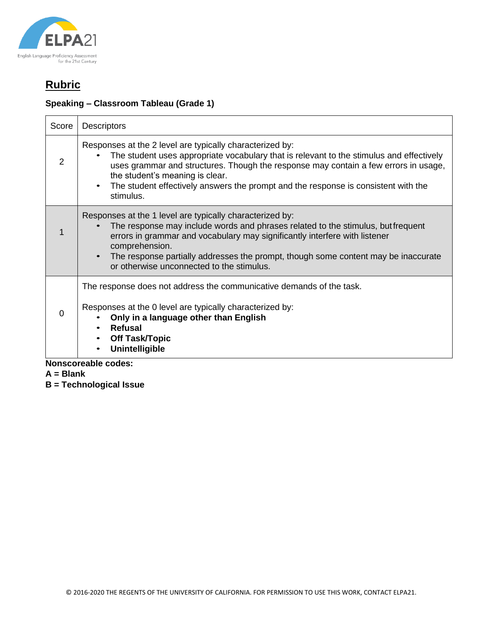

### **Speaking – Classroom Tableau (Grade 1)**

| Score                      | <b>Descriptors</b>                                                                                                                                                                                                                                                                                                                                                                             |  |
|----------------------------|------------------------------------------------------------------------------------------------------------------------------------------------------------------------------------------------------------------------------------------------------------------------------------------------------------------------------------------------------------------------------------------------|--|
| $\overline{2}$             | Responses at the 2 level are typically characterized by:<br>The student uses appropriate vocabulary that is relevant to the stimulus and effectively<br>uses grammar and structures. Though the response may contain a few errors in usage,<br>the student's meaning is clear.<br>The student effectively answers the prompt and the response is consistent with the<br>$\bullet$<br>stimulus. |  |
|                            | Responses at the 1 level are typically characterized by:<br>The response may include words and phrases related to the stimulus, but frequent<br>errors in grammar and vocabulary may significantly interfere with listener<br>comprehension.<br>The response partially addresses the prompt, though some content may be inaccurate<br>or otherwise unconnected to the stimulus.                |  |
| $\Omega$                   | The response does not address the communicative demands of the task.<br>Responses at the 0 level are typically characterized by:<br>Only in a language other than English<br><b>Refusal</b><br>$\bullet$<br><b>Off Task/Topic</b><br>Unintelligible                                                                                                                                            |  |
| <b>Nonscoreable codes:</b> |                                                                                                                                                                                                                                                                                                                                                                                                |  |

- **A = Blank**
- **B = Technological Issue**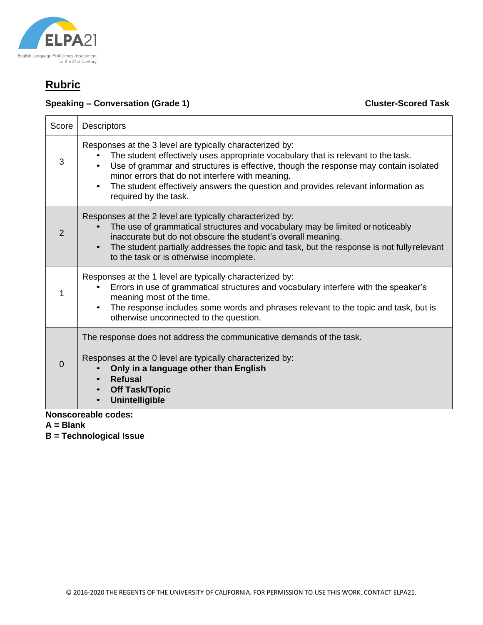

#### **Speaking – Conversation (Grade 1)** Cluster-Scored Task

| Score    | <b>Descriptors</b>                                                                                                                                                                                                                                                                                                                                                                                      |  |  |
|----------|---------------------------------------------------------------------------------------------------------------------------------------------------------------------------------------------------------------------------------------------------------------------------------------------------------------------------------------------------------------------------------------------------------|--|--|
| 3        | Responses at the 3 level are typically characterized by:<br>The student effectively uses appropriate vocabulary that is relevant to the task.<br>Use of grammar and structures is effective, though the response may contain isolated<br>minor errors that do not interfere with meaning.<br>The student effectively answers the question and provides relevant information as<br>required by the task. |  |  |
| 2        | Responses at the 2 level are typically characterized by:<br>The use of grammatical structures and vocabulary may be limited or noticeably<br>inaccurate but do not obscure the student's overall meaning.<br>The student partially addresses the topic and task, but the response is not fully relevant<br>to the task or is otherwise incomplete.                                                      |  |  |
| 1        | Responses at the 1 level are typically characterized by:<br>Errors in use of grammatical structures and vocabulary interfere with the speaker's<br>meaning most of the time.<br>The response includes some words and phrases relevant to the topic and task, but is<br>otherwise unconnected to the question.                                                                                           |  |  |
| $\Omega$ | The response does not address the communicative demands of the task.<br>Responses at the 0 level are typically characterized by:<br>Only in a language other than English<br><b>Refusal</b><br><b>Off Task/Topic</b><br><b>Unintelligible</b>                                                                                                                                                           |  |  |
|          | <b>Nonscoreable codes:</b>                                                                                                                                                                                                                                                                                                                                                                              |  |  |

**A = Blank**

**B = Technological Issue**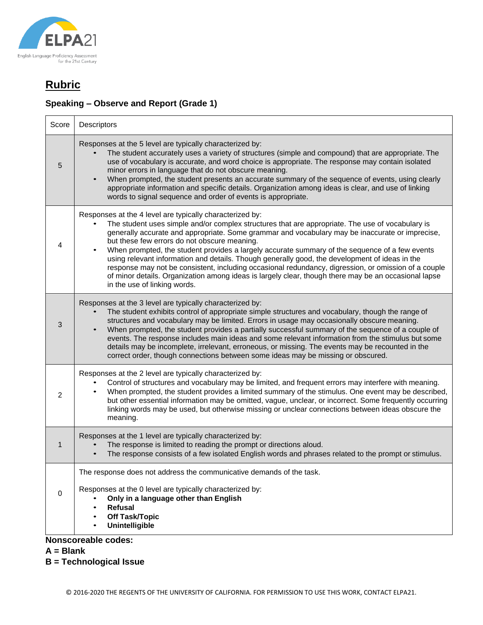

### **Speaking – Observe and Report (Grade 1)**

| Score                      | Descriptors                                                                                                                                                                                                                                                                                                                                                                                                                                                                                                                                                                                                                                                                                                                                                         |  |
|----------------------------|---------------------------------------------------------------------------------------------------------------------------------------------------------------------------------------------------------------------------------------------------------------------------------------------------------------------------------------------------------------------------------------------------------------------------------------------------------------------------------------------------------------------------------------------------------------------------------------------------------------------------------------------------------------------------------------------------------------------------------------------------------------------|--|
| 5                          | Responses at the 5 level are typically characterized by:<br>The student accurately uses a variety of structures (simple and compound) that are appropriate. The<br>use of vocabulary is accurate, and word choice is appropriate. The response may contain isolated<br>minor errors in language that do not obscure meaning.<br>When prompted, the student presents an accurate summary of the sequence of events, using clearly<br>appropriate information and specific details. Organization among ideas is clear, and use of linking<br>words to signal sequence and order of events is appropriate.                                                                                                                                                             |  |
| 4                          | Responses at the 4 level are typically characterized by:<br>The student uses simple and/or complex structures that are appropriate. The use of vocabulary is<br>generally accurate and appropriate. Some grammar and vocabulary may be inaccurate or imprecise,<br>but these few errors do not obscure meaning.<br>When prompted, the student provides a largely accurate summary of the sequence of a few events<br>using relevant information and details. Though generally good, the development of ideas in the<br>response may not be consistent, including occasional redundancy, digression, or omission of a couple<br>of minor details. Organization among ideas is largely clear, though there may be an occasional lapse<br>in the use of linking words. |  |
| 3                          | Responses at the 3 level are typically characterized by:<br>The student exhibits control of appropriate simple structures and vocabulary, though the range of<br>structures and vocabulary may be limited. Errors in usage may occasionally obscure meaning.<br>When prompted, the student provides a partially successful summary of the sequence of a couple of<br>events. The response includes main ideas and some relevant information from the stimulus but some<br>details may be incomplete, irrelevant, erroneous, or missing. The events may be recounted in the<br>correct order, though connections between some ideas may be missing or obscured.                                                                                                      |  |
| 2                          | Responses at the 2 level are typically characterized by:<br>Control of structures and vocabulary may be limited, and frequent errors may interfere with meaning.<br>When prompted, the student provides a limited summary of the stimulus. One event may be described,<br>but other essential information may be omitted, vague, unclear, or incorrect. Some frequently occurring<br>linking words may be used, but otherwise missing or unclear connections between ideas obscure the<br>meaning.                                                                                                                                                                                                                                                                  |  |
| $\mathbf 1$                | Responses at the 1 level are typically characterized by:<br>The response is limited to reading the prompt or directions aloud.<br>The response consists of a few isolated English words and phrases related to the prompt or stimulus.                                                                                                                                                                                                                                                                                                                                                                                                                                                                                                                              |  |
|                            | The response does not address the communicative demands of the task.                                                                                                                                                                                                                                                                                                                                                                                                                                                                                                                                                                                                                                                                                                |  |
| $\mathbf 0$                | Responses at the 0 level are typically characterized by:<br>Only in a language other than English<br>Refusal<br>$\bullet$<br><b>Off Task/Topic</b><br><b>Unintelligible</b>                                                                                                                                                                                                                                                                                                                                                                                                                                                                                                                                                                                         |  |
| <b>Nonscoreable codes:</b> |                                                                                                                                                                                                                                                                                                                                                                                                                                                                                                                                                                                                                                                                                                                                                                     |  |

**A = Blank**

**B = Technological Issue**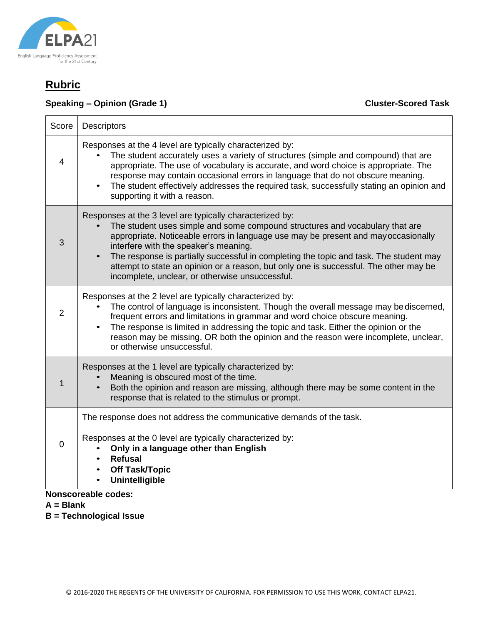

#### **Speaking – Opinion (Grade 1)** Cluster-Scored Task

٦

| Score          | <b>Descriptors</b>                                                                                                                                                                                                                                                                                                                                                                                                                                                                                            |
|----------------|---------------------------------------------------------------------------------------------------------------------------------------------------------------------------------------------------------------------------------------------------------------------------------------------------------------------------------------------------------------------------------------------------------------------------------------------------------------------------------------------------------------|
| $\overline{4}$ | Responses at the 4 level are typically characterized by:<br>The student accurately uses a variety of structures (simple and compound) that are<br>appropriate. The use of vocabulary is accurate, and word choice is appropriate. The<br>response may contain occasional errors in language that do not obscure meaning.<br>The student effectively addresses the required task, successfully stating an opinion and<br>supporting it with a reason.                                                          |
| 3              | Responses at the 3 level are typically characterized by:<br>The student uses simple and some compound structures and vocabulary that are<br>appropriate. Noticeable errors in language use may be present and may occasionally<br>interfere with the speaker's meaning.<br>The response is partially successful in completing the topic and task. The student may<br>attempt to state an opinion or a reason, but only one is successful. The other may be<br>incomplete, unclear, or otherwise unsuccessful. |
| $\overline{2}$ | Responses at the 2 level are typically characterized by:<br>The control of language is inconsistent. Though the overall message may be discerned,<br>frequent errors and limitations in grammar and word choice obscure meaning.<br>The response is limited in addressing the topic and task. Either the opinion or the<br>reason may be missing, OR both the opinion and the reason were incomplete, unclear,<br>or otherwise unsuccessful.                                                                  |
| 1              | Responses at the 1 level are typically characterized by:<br>Meaning is obscured most of the time.<br>Both the opinion and reason are missing, although there may be some content in the<br>response that is related to the stimulus or prompt.                                                                                                                                                                                                                                                                |
| 0              | The response does not address the communicative demands of the task.<br>Responses at the 0 level are typically characterized by:<br>Only in a language other than English                                                                                                                                                                                                                                                                                                                                     |
|                | Refusal<br><b>Off Task/Topic</b><br><b>Unintelligible</b>                                                                                                                                                                                                                                                                                                                                                                                                                                                     |

- **Nonscoreable codes:**
- **A = Blank**
- **B = Technological Issue**